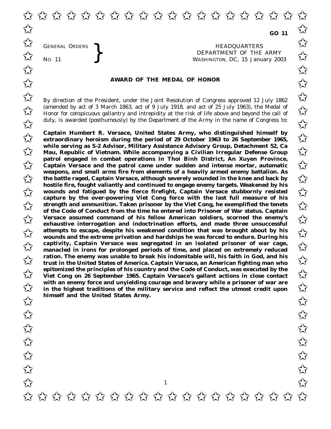GENERAL ORDERS <br>No. 11 <br>No. 11 <br>Nashington, DC, 15 Janu DEPARTMENT OF THE ARMY No. 11 **Separate All Separate Separate SEPARTMENT OF THE ARMY**<br>WASHINGTON, DC, 15 January 2003 ✩ ✩

## **AWARD OF THE MEDAL OF HONOR**

By direction of the President, under the Joint Resolution of Congress approved 12 July 1862 (amended by act of 3 March 1863, act of 9 July 1918, and act of 25 July 1963), the Medal of (amended by act of 3 March 1863, act of 9 July 1918, and act of 25 July 1963), the Medal of  $\overline{\mathcal{M}}$ <br>Honor for conspicuous gallantry and intrepidity at the risk of life above and beyond the call of  $\overline{\mathcal{M}}$ duty, is awarded (posthumously) by the Department of the Army in the name of Congress to:<br>  $\overrightarrow{\lambda}$ 

**Captain Humbert R. Versace, United States Army, who distinguished himself by Extraordinary heroism during the period of 29 October 1963 to 26 September 1965, while serving as S-2 Advisor, Military Assistance Advisory Group, Detachment 52, Ca** While serving as S-z Advisor, Military Assistance Advisory Group, Detachment 5z, Ca<br>
Mau, Republic of Vietnam. While accompanying a Civilian Irregular Defense Group patrol engaged in combat operations in Thoi Binh District, An Xuyen Province, Fraction engaged in compact operations in thoir binn bistrict, An Adyen Province,<br>
Captain Versace and the patrol came under sudden and intense mortar, automatic <del>√</del> **weapons, and small arms fire from elements of a heavily armed enemy battalion. As** the battle raged, Captain Versace, although severely wounded in the knee and back by<br> **Solution** the battle raged, Captain Versace, although severely wounded in the knee and back by **hostile fire, fought valiantly and continued to engage enemy targets. Weakened by his** wounds and fatigued by the fierce firefight, Captain Versace stubbornly resisted<br>canture by the over-nowering Viet Cong force with the last full measure of his capture by the over-powering Viet Cong force with the last full measure of his **strength and ammunition. Taken prisoner by the Viet Cong, he exemplified the tenets**<br>
of the Code of Conduct from the time he entered into Prisoner of War status. Captain **of the Code of Conduct from the time he entered into Prisoner of War status. Captain Versace assumed command of his fellow American soldiers, scorned the enemy's**  $\overrightarrow{\lambda}$  exhaustive interrogation and indoctrination efforts, and made three unsuccessful exhaustive interrogation and indoctrination efforts, and made three unsuccessful **attempts to escape, despite his weakened condition that was brought about by his**<br>
→ **W** wounds and the extreme privation and hardships he was forced to endure. During his **wounds and the extreme privation and hardships he was forced to endure. During his** captivity, Captain Versace was segregated in an isolated prisoner of war cage, **captivity, Captain Versace was segregated in an isolated prisoner of war cage,**<br>
⊠ manacled in irons for prolonged periods of time, and placed on extremely reduced **ration. The enemy was unable to break his indomitable will, his faith in God, and his**<br>↓√ trust in the United States of America. Captain Versace, an American fighting man who **trust in the United States of America. Captain Versace, an American fighting man who epitomized the principles of his country and the Code of Conduct, was executed by the Committed the principles of his country and the Code of Conduct, was executed by the**<br> $\lambda$  **Viet Cong on 26 September 1965. Captain Versace's gallant actions in close contact with an enemy force and unyielding courage and bravery while a prisoner of war are** with an enemy force and unyielding courage and bravery while a prisoner of war are<br>  $\lambda$  in the highest traditions of the military service and reflect the utmost credit upon **himself and the United States Army.**  $\lambda$  nimself and the United States Army.

1

GENERAL ORDERS